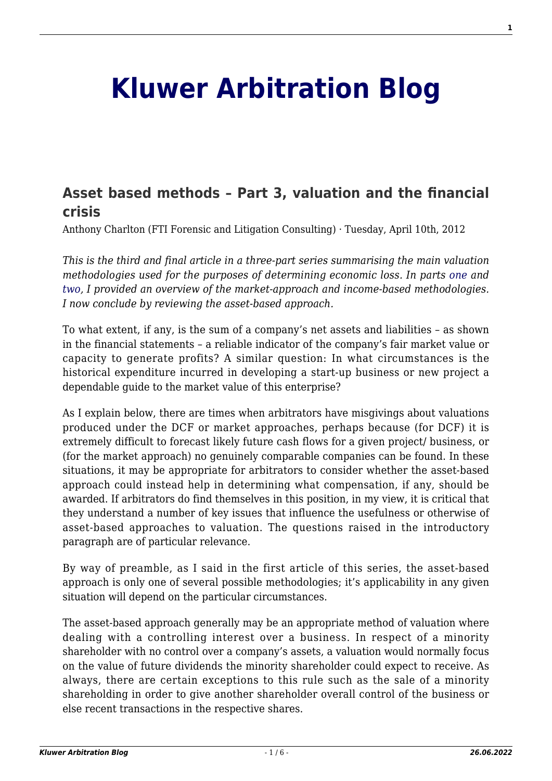# **[Kluwer Arbitration Blog](http://arbitrationblog.kluwerarbitration.com/)**

# **[Asset based methods – Part 3, valuation and the financial](http://arbitrationblog.kluwerarbitration.com/2012/04/10/asset-based-methods-part-3-valuation-and-the-financial-crisis/) [crisis](http://arbitrationblog.kluwerarbitration.com/2012/04/10/asset-based-methods-part-3-valuation-and-the-financial-crisis/)**

Anthony Charlton (FTI Forensic and Litigation Consulting) · Tuesday, April 10th, 2012

*This is the third and final article in a three-part series summarising the main valuation methodologies used for the purposes of determining economic loss. In parts [one](http://wolterskluwerblogs.com/blog/2011/11/29/valuation-approaches-and-the-financial-crisis-part-1-%e2%80%93-market-methods/) and [two,](http://wolterskluwerblogs.com/blog/2012/01/26/discounted-cash-flows-%e2%80%93-part-2-valuation-and-the-financial-crisis/) I provided an overview of the market-approach and income-based methodologies. I now conclude by reviewing the asset-based approach.*

To what extent, if any, is the sum of a company's net assets and liabilities – as shown in the financial statements – a reliable indicator of the company's fair market value or capacity to generate profits? A similar question: In what circumstances is the historical expenditure incurred in developing a start-up business or new project a dependable guide to the market value of this enterprise?

As I explain below, there are times when arbitrators have misgivings about valuations produced under the DCF or market approaches, perhaps because (for DCF) it is extremely difficult to forecast likely future cash flows for a given project/ business, or (for the market approach) no genuinely comparable companies can be found. In these situations, it may be appropriate for arbitrators to consider whether the asset-based approach could instead help in determining what compensation, if any, should be awarded. If arbitrators do find themselves in this position, in my view, it is critical that they understand a number of key issues that influence the usefulness or otherwise of asset-based approaches to valuation. The questions raised in the introductory paragraph are of particular relevance.

By way of preamble, as I said in the first article of this series, the asset-based approach is only one of several possible methodologies; it's applicability in any given situation will depend on the particular circumstances.

The asset-based approach generally may be an appropriate method of valuation where dealing with a controlling interest over a business. In respect of a minority shareholder with no control over a company's assets, a valuation would normally focus on the value of future dividends the minority shareholder could expect to receive. As always, there are certain exceptions to this rule such as the sale of a minority shareholding in order to give another shareholder overall control of the business or else recent transactions in the respective shares.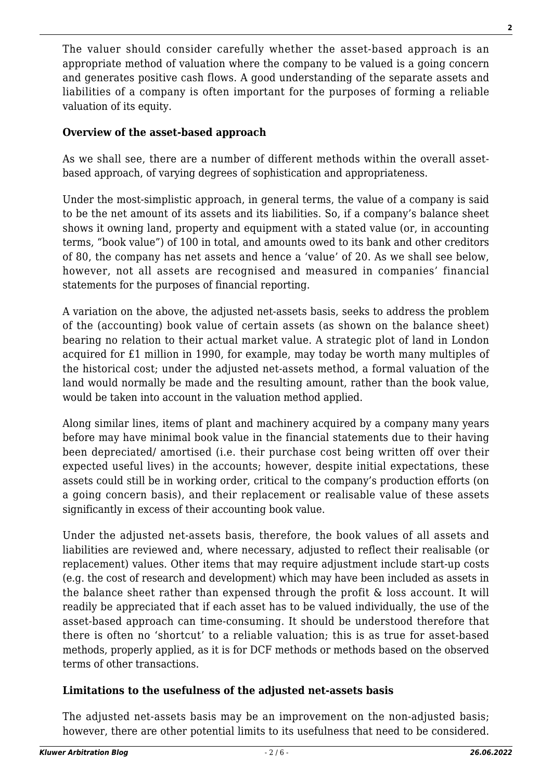The valuer should consider carefully whether the asset-based approach is an appropriate method of valuation where the company to be valued is a going concern and generates positive cash flows. A good understanding of the separate assets and liabilities of a company is often important for the purposes of forming a reliable valuation of its equity.

#### **Overview of the asset-based approach**

As we shall see, there are a number of different methods within the overall assetbased approach, of varying degrees of sophistication and appropriateness.

Under the most-simplistic approach, in general terms, the value of a company is said to be the net amount of its assets and its liabilities. So, if a company's balance sheet shows it owning land, property and equipment with a stated value (or, in accounting terms, "book value") of 100 in total, and amounts owed to its bank and other creditors of 80, the company has net assets and hence a 'value' of 20. As we shall see below, however, not all assets are recognised and measured in companies' financial statements for the purposes of financial reporting.

A variation on the above, the adjusted net-assets basis, seeks to address the problem of the (accounting) book value of certain assets (as shown on the balance sheet) bearing no relation to their actual market value. A strategic plot of land in London acquired for £1 million in 1990, for example, may today be worth many multiples of the historical cost; under the adjusted net-assets method, a formal valuation of the land would normally be made and the resulting amount, rather than the book value, would be taken into account in the valuation method applied.

Along similar lines, items of plant and machinery acquired by a company many years before may have minimal book value in the financial statements due to their having been depreciated/ amortised (i.e. their purchase cost being written off over their expected useful lives) in the accounts; however, despite initial expectations, these assets could still be in working order, critical to the company's production efforts (on a going concern basis), and their replacement or realisable value of these assets significantly in excess of their accounting book value.

Under the adjusted net-assets basis, therefore, the book values of all assets and liabilities are reviewed and, where necessary, adjusted to reflect their realisable (or replacement) values. Other items that may require adjustment include start-up costs (e.g. the cost of research and development) which may have been included as assets in the balance sheet rather than expensed through the profit & loss account. It will readily be appreciated that if each asset has to be valued individually, the use of the asset-based approach can time-consuming. It should be understood therefore that there is often no 'shortcut' to a reliable valuation; this is as true for asset-based methods, properly applied, as it is for DCF methods or methods based on the observed terms of other transactions.

## **Limitations to the usefulness of the adjusted net-assets basis**

The adjusted net-assets basis may be an improvement on the non-adjusted basis; however, there are other potential limits to its usefulness that need to be considered.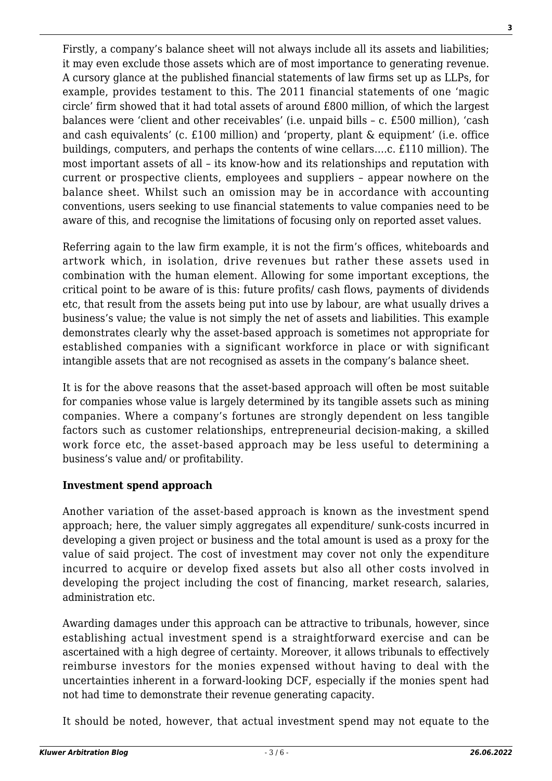Firstly, a company's balance sheet will not always include all its assets and liabilities; it may even exclude those assets which are of most importance to generating revenue. A cursory glance at the published financial statements of law firms set up as LLPs, for example, provides testament to this. The 2011 financial statements of one 'magic circle' firm showed that it had total assets of around £800 million, of which the largest balances were 'client and other receivables' (i.e. unpaid bills – c. £500 million), 'cash and cash equivalents' (c. £100 million) and 'property, plant & equipment' (i.e. office buildings, computers, and perhaps the contents of wine cellars….c. £110 million). The most important assets of all – its know-how and its relationships and reputation with current or prospective clients, employees and suppliers – appear nowhere on the balance sheet. Whilst such an omission may be in accordance with accounting conventions, users seeking to use financial statements to value companies need to be aware of this, and recognise the limitations of focusing only on reported asset values.

Referring again to the law firm example, it is not the firm's offices, whiteboards and artwork which, in isolation, drive revenues but rather these assets used in combination with the human element. Allowing for some important exceptions, the critical point to be aware of is this: future profits/ cash flows, payments of dividends etc, that result from the assets being put into use by labour, are what usually drives a business's value; the value is not simply the net of assets and liabilities. This example demonstrates clearly why the asset-based approach is sometimes not appropriate for established companies with a significant workforce in place or with significant intangible assets that are not recognised as assets in the company's balance sheet.

It is for the above reasons that the asset-based approach will often be most suitable for companies whose value is largely determined by its tangible assets such as mining companies. Where a company's fortunes are strongly dependent on less tangible factors such as customer relationships, entrepreneurial decision-making, a skilled work force etc, the asset-based approach may be less useful to determining a business's value and/ or profitability.

#### **Investment spend approach**

Another variation of the asset-based approach is known as the investment spend approach; here, the valuer simply aggregates all expenditure/ sunk-costs incurred in developing a given project or business and the total amount is used as a proxy for the value of said project. The cost of investment may cover not only the expenditure incurred to acquire or develop fixed assets but also all other costs involved in developing the project including the cost of financing, market research, salaries, administration etc.

Awarding damages under this approach can be attractive to tribunals, however, since establishing actual investment spend is a straightforward exercise and can be ascertained with a high degree of certainty. Moreover, it allows tribunals to effectively reimburse investors for the monies expensed without having to deal with the uncertainties inherent in a forward-looking DCF, especially if the monies spent had not had time to demonstrate their revenue generating capacity.

It should be noted, however, that actual investment spend may not equate to the

**3**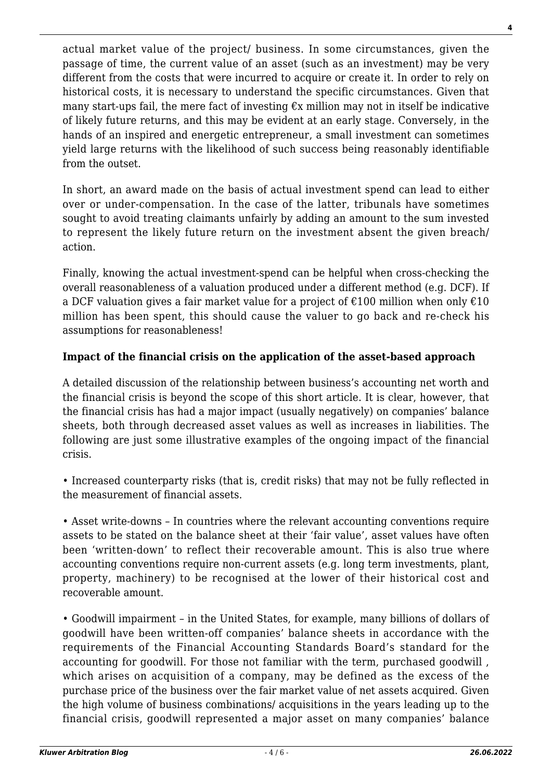actual market value of the project/ business. In some circumstances, given the passage of time, the current value of an asset (such as an investment) may be very different from the costs that were incurred to acquire or create it. In order to rely on historical costs, it is necessary to understand the specific circumstances. Given that many start-ups fail, the mere fact of investing  $\epsilon$ x million may not in itself be indicative of likely future returns, and this may be evident at an early stage. Conversely, in the hands of an inspired and energetic entrepreneur, a small investment can sometimes yield large returns with the likelihood of such success being reasonably identifiable from the outset

In short, an award made on the basis of actual investment spend can lead to either over or under-compensation. In the case of the latter, tribunals have sometimes sought to avoid treating claimants unfairly by adding an amount to the sum invested to represent the likely future return on the investment absent the given breach/ action.

Finally, knowing the actual investment-spend can be helpful when cross-checking the overall reasonableness of a valuation produced under a different method (e.g. DCF). If a DCF valuation gives a fair market value for a project of  $\epsilon$ 100 million when only  $\epsilon$ 10 million has been spent, this should cause the valuer to go back and re-check his assumptions for reasonableness!

### **Impact of the financial crisis on the application of the asset-based approach**

A detailed discussion of the relationship between business's accounting net worth and the financial crisis is beyond the scope of this short article. It is clear, however, that the financial crisis has had a major impact (usually negatively) on companies' balance sheets, both through decreased asset values as well as increases in liabilities. The following are just some illustrative examples of the ongoing impact of the financial crisis.

• Increased counterparty risks (that is, credit risks) that may not be fully reflected in the measurement of financial assets.

• Asset write-downs – In countries where the relevant accounting conventions require assets to be stated on the balance sheet at their 'fair value', asset values have often been 'written-down' to reflect their recoverable amount. This is also true where accounting conventions require non-current assets (e.g. long term investments, plant, property, machinery) to be recognised at the lower of their historical cost and recoverable amount.

• Goodwill impairment – in the United States, for example, many billions of dollars of goodwill have been written-off companies' balance sheets in accordance with the requirements of the Financial Accounting Standards Board's standard for the accounting for goodwill. For those not familiar with the term, purchased goodwill , which arises on acquisition of a company, may be defined as the excess of the purchase price of the business over the fair market value of net assets acquired. Given the high volume of business combinations/ acquisitions in the years leading up to the financial crisis, goodwill represented a major asset on many companies' balance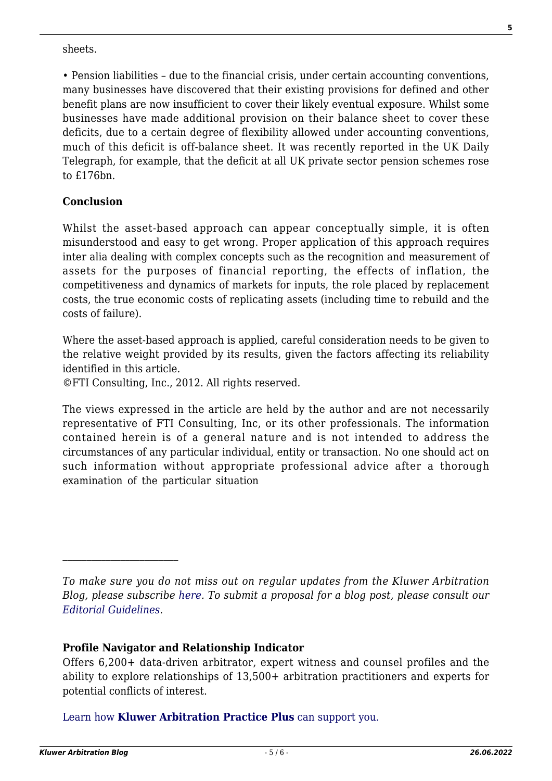sheets.

• Pension liabilities – due to the financial crisis, under certain accounting conventions, many businesses have discovered that their existing provisions for defined and other benefit plans are now insufficient to cover their likely eventual exposure. Whilst some businesses have made additional provision on their balance sheet to cover these deficits, due to a certain degree of flexibility allowed under accounting conventions, much of this deficit is off-balance sheet. It was recently reported in the UK Daily Telegraph, for example, that the deficit at all UK private sector pension schemes rose to £176bn.

#### **Conclusion**

Whilst the asset-based approach can appear conceptually simple, it is often misunderstood and easy to get wrong. Proper application of this approach requires inter alia dealing with complex concepts such as the recognition and measurement of assets for the purposes of financial reporting, the effects of inflation, the competitiveness and dynamics of markets for inputs, the role placed by replacement costs, the true economic costs of replicating assets (including time to rebuild and the costs of failure).

Where the asset-based approach is applied, careful consideration needs to be given to the relative weight provided by its results, given the factors affecting its reliability identified in this article.

©FTI Consulting, Inc., 2012. All rights reserved.

The views expressed in the article are held by the author and are not necessarily representative of FTI Consulting, Inc, or its other professionals. The information contained herein is of a general nature and is not intended to address the circumstances of any particular individual, entity or transaction. No one should act on such information without appropriate professional advice after a thorough examination of the particular situation

*To make sure you do not miss out on regular updates from the Kluwer Arbitration Blog, please subscribe [here](http://arbitrationblog.kluwerarbitration.com/newsletter/). To submit a proposal for a blog post, please consult our [Editorial Guidelines.](http://arbitrationblog.kluwerarbitration.com/editorial-guidelines/)*

#### **Profile Navigator and Relationship Indicator**

Offers 6,200+ data-driven arbitrator, expert witness and counsel profiles and the ability to explore relationships of 13,500+ arbitration practitioners and experts for potential conflicts of interest.

[Learn how](https://www.wolterskluwer.com/en/solutions/kluwerarbitration/practiceplus?utm_source=arbitrationblog&utm_medium=articleCTA&utm_campaign=article-banner) **[Kluwer Arbitration Practice Plus](https://www.wolterskluwer.com/en/solutions/kluwerarbitration/practiceplus?utm_source=arbitrationblog&utm_medium=articleCTA&utm_campaign=article-banner)** [can support you.](https://www.wolterskluwer.com/en/solutions/kluwerarbitration/practiceplus?utm_source=arbitrationblog&utm_medium=articleCTA&utm_campaign=article-banner)